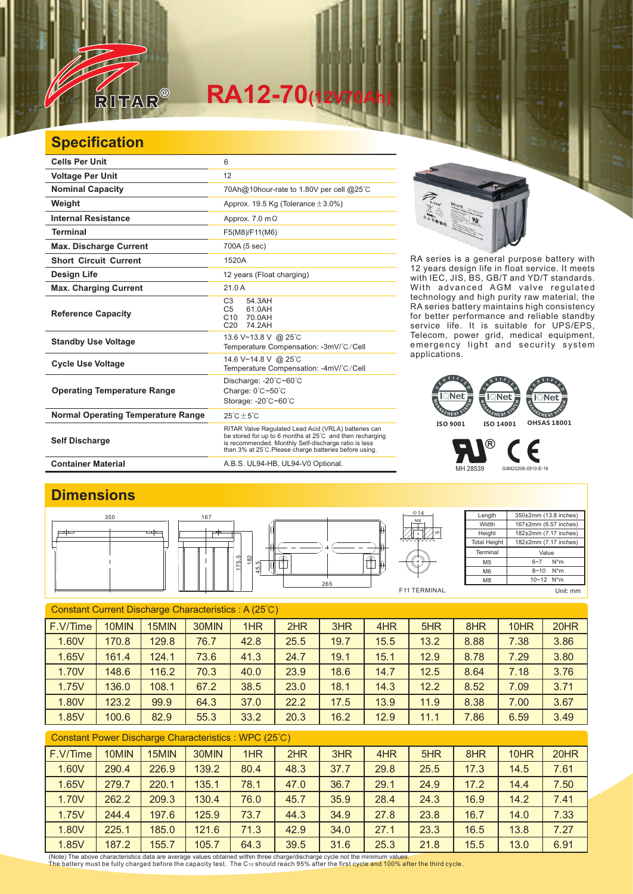

# $RA12-70$ <sup></sup>

### **Specification**

| <b>Cells Per Unit</b>                     | 6                                                                                                                                                                                                                                  |
|-------------------------------------------|------------------------------------------------------------------------------------------------------------------------------------------------------------------------------------------------------------------------------------|
| <b>Voltage Per Unit</b>                   | 12                                                                                                                                                                                                                                 |
| <b>Nominal Capacity</b>                   | 70Ah@10hour-rate to 1.80V per cell @25°C                                                                                                                                                                                           |
| Weight                                    | Approx. 19.5 Kg (Tolerance $\pm$ 3.0%)                                                                                                                                                                                             |
| <b>Internal Resistance</b>                | Approx. $7.0 \text{ m}\Omega$                                                                                                                                                                                                      |
| <b>Terminal</b>                           | F5(M8)/F11(M6)                                                                                                                                                                                                                     |
| <b>Max. Discharge Current</b>             | 700A (5 sec)                                                                                                                                                                                                                       |
| <b>Short Circuit Current</b>              | 1520A                                                                                                                                                                                                                              |
| Design Life                               | 12 years (Float charging)                                                                                                                                                                                                          |
| <b>Max. Charging Current</b>              | 21.0A                                                                                                                                                                                                                              |
| <b>Reference Capacity</b>                 | 54.3AH<br>C <sub>3</sub><br>61.0AH<br>C <sub>5</sub><br>C10<br>70.0AH<br>C <sub>20</sub><br>74.2AH                                                                                                                                 |
| <b>Standby Use Voltage</b>                | 13.6 V~13.8 V @ 25°C<br>Temperature Compensation: -3mV/°C/Cell                                                                                                                                                                     |
| <b>Cycle Use Voltage</b>                  | 14.6 V~14.8 V @ 25°C<br>Temperature Compensation: -4mV/°C/Cell                                                                                                                                                                     |
| <b>Operating Temperature Range</b>        | Discharge: -20°C~60°C<br>Charge: 0°C~50°C<br>Storage: -20°C~60°C                                                                                                                                                                   |
| <b>Normal Operating Temperature Range</b> | $25^{\circ}$ C + $5^{\circ}$ C                                                                                                                                                                                                     |
| <b>Self Discharge</b>                     | RITAR Valve Regulated Lead Acid (VRLA) batteries can<br>be stored for up to 6 months at 25°C and then recharging<br>is recommended. Monthly Self-discharge ratio is less<br>than 3% at 25°C. Please charge batteries before using. |
| <b>Container Material</b>                 | A.B.S. UL94-HB, UL94-V0 Optional.                                                                                                                                                                                                  |



RA series is a general purpose battery with 12 years design life in float service. It meets with IEC, JIS, BS, GB/T and YD/T standards. With advanced AGM valve regulated technology and high purity raw material, the RA series battery maintains high consistency for better performance and reliable standby service life. It is suitable for UPS/EPS, Telecom, power grid, medical equipment, emergency light and security system applications.



 $^\circledR$ 

F MH 28539 G4M20206-0910-E-16

#### **Dimensions**



| Constant Current Discharge Characteristics: A (25°C) |       |       |       |      |      |      |      |      |      |      |      |
|------------------------------------------------------|-------|-------|-------|------|------|------|------|------|------|------|------|
| F.V/Time                                             | 10MIN | 15MIN | 30MIN | 1HR  | 2HR  | 3HR  | 4HR  | 5HR  | 8HR  | 10HR | 20HR |
| 1.60V                                                | 170.8 | 129.8 | 76.7  | 42.8 | 25.5 | 19.7 | 15.5 | 13.2 | 8.88 | 7.38 | 3.86 |
| 1.65V                                                | 161.4 | 124.1 | 73.6  | 41.3 | 24.7 | 19.1 | 15.1 | 12.9 | 8.78 | 7.29 | 3.80 |
| 1.70V                                                | 148.6 | 116.2 | 70.3  | 40.0 | 23.9 | 18.6 | 14.7 | 12.5 | 8.64 | 7.18 | 3.76 |
| 1.75V                                                | 136.0 | 108.1 | 67.2  | 38.5 | 23.0 | 18.1 | 14.3 | 12.2 | 8.52 | 7.09 | 3.71 |
| 1.80V                                                | 123.2 | 99.9  | 64.3  | 37.0 | 22.2 | 17.5 | 13.9 | 11.9 | 8.38 | 7.00 | 3.67 |
| 1.85V                                                | 100.6 | 82.9  | 55.3  | 33.2 | 20.3 | 16.2 | 12.9 | 11.1 | 7.86 | 6.59 | 3.49 |
|                                                      |       |       |       |      |      |      |      |      |      |      |      |

#### Constant Power Discharge Characteristics : WPC (25℃)

| F.V/Time | 10MIN | 15MIN | 30MIN | 1HR  | 2HR  | 3HR  | 4HR  | 5HR  | 8HR  | 10HR | 20HR |
|----------|-------|-------|-------|------|------|------|------|------|------|------|------|
| 1.60V    | 290.4 | 226.9 | 139.2 | 80.4 | 48.3 | 37.7 | 29.8 | 25.5 | 17.3 | 14.5 | 7.61 |
| 1.65V    | 279.7 | 220.1 | 135.1 | 78.1 | 47.0 | 36.7 | 29.1 | 24.9 | 17.2 | 14.4 | 7.50 |
| 1.70V    | 262.2 | 209.3 | 130.4 | 76.0 | 45.7 | 35.9 | 28.4 | 24.3 | 16.9 | 14.2 | 7.41 |
| 1.75V    | 244.4 | 197.6 | 125.9 | 73.7 | 44.3 | 34.9 | 27.8 | 23.8 | 16.7 | 14.0 | 7.33 |
| 1.80V    | 225.1 | 185.0 | 121.6 | 71.3 | 42.9 | 34.0 | 27.1 | 23.3 | 16.5 | 13.8 | 7.27 |
| 1.85V    | 187.2 | 155.7 | 105.7 | 64.3 | 39.5 | 31.6 | 25.3 | 21.8 | 15.5 | 13.0 | 6.91 |

(Note) The above characteristics data are average values obtained within three charge/discharge cycle not the minimum values.<br>The battery must be fully charged before the capacity test. The C10 should reach 95% after the